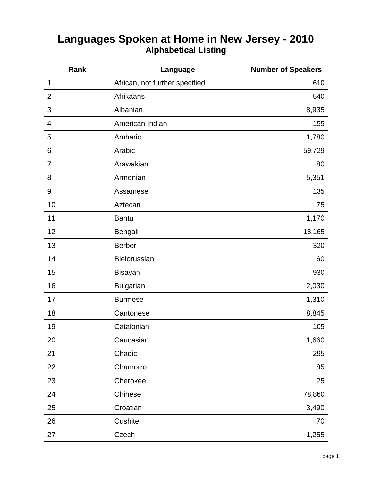## **Languages Spoken at Home in New Jersey - 2010 Alphabetical Listing**

| Rank             | Language                       | <b>Number of Speakers</b> |
|------------------|--------------------------------|---------------------------|
| 1                | African, not further specified | 610                       |
| $\overline{2}$   | Afrikaans                      | 540                       |
| 3                | Albanian                       | 8,935                     |
| 4                | American Indian                | 155                       |
| 5                | Amharic                        | 1,780                     |
| $6\phantom{1}$   | Arabic                         | 59,729                    |
| $\overline{7}$   | Arawakian                      | 80                        |
| 8                | Armenian                       | 5,351                     |
| $\boldsymbol{9}$ | Assamese                       | 135                       |
| 10               | Aztecan                        | 75                        |
| 11               | <b>Bantu</b>                   | 1,170                     |
| 12               | Bengali                        | 18,165                    |
| 13               | <b>Berber</b>                  | 320                       |
| 14               | Bielorussian                   | 60                        |
| 15               | <b>Bisayan</b>                 | 930                       |
| 16               | <b>Bulgarian</b>               | 2,030                     |
| 17               | <b>Burmese</b>                 | 1,310                     |
| 18               | Cantonese                      | 8,845                     |
| 19               | Catalonian                     | 105                       |
| 20               | Caucasian                      | 1,660                     |
| 21               | Chadic                         | 295                       |
| 22               | Chamorro                       | 85                        |
| 23               | Cherokee                       | 25                        |
| 24               | Chinese                        | 78,860                    |
| 25               | Croatian                       | 3,490                     |
| 26               | Cushite                        | 70                        |
| 27               | Czech                          | 1,255                     |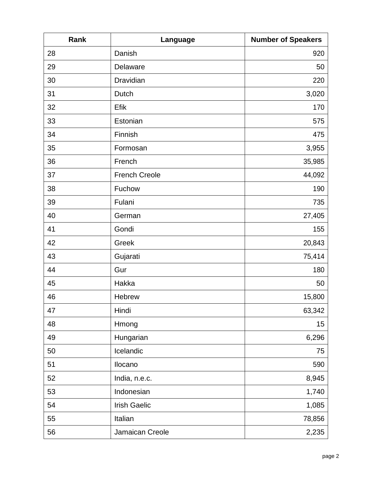| Rank | Language             | <b>Number of Speakers</b> |
|------|----------------------|---------------------------|
| 28   | Danish               | 920                       |
| 29   | Delaware             | 50                        |
| 30   | Dravidian            | 220                       |
| 31   | Dutch                | 3,020                     |
| 32   | Efik                 | 170                       |
| 33   | Estonian             | 575                       |
| 34   | Finnish              | 475                       |
| 35   | Formosan             | 3,955                     |
| 36   | French               | 35,985                    |
| 37   | <b>French Creole</b> | 44,092                    |
| 38   | Fuchow               | 190                       |
| 39   | Fulani               | 735                       |
| 40   | German               | 27,405                    |
| 41   | Gondi                | 155                       |
| 42   | Greek                | 20,843                    |
| 43   | Gujarati             | 75,414                    |
| 44   | Gur                  | 180                       |
| 45   | Hakka                | 50                        |
| 46   | <b>Hebrew</b>        | 15,800                    |
| 47   | Hindi                | 63,342                    |
| 48   | Hmong                | 15                        |
| 49   | Hungarian            | 6,296                     |
| 50   | Icelandic            | 75                        |
| 51   | Ilocano              | 590                       |
| 52   | India, n.e.c.        | 8,945                     |
| 53   | Indonesian           | 1,740                     |
| 54   | <b>Irish Gaelic</b>  | 1,085                     |
| 55   | Italian              | 78,856                    |
| 56   | Jamaican Creole      | 2,235                     |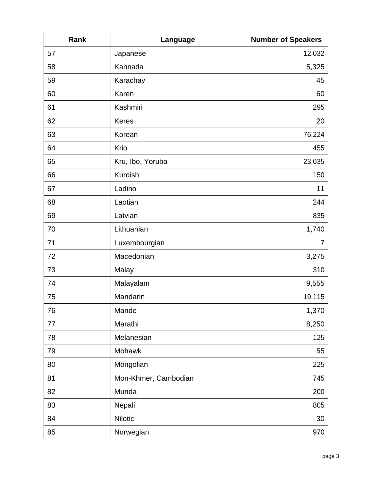| Rank | Language             | <b>Number of Speakers</b> |
|------|----------------------|---------------------------|
| 57   | Japanese             | 12,032                    |
| 58   | Kannada              | 5,325                     |
| 59   | Karachay             | 45                        |
| 60   | Karen                | 60                        |
| 61   | Kashmiri             | 295                       |
| 62   | <b>Keres</b>         | 20                        |
| 63   | Korean               | 76,224                    |
| 64   | Krio                 | 455                       |
| 65   | Kru, Ibo, Yoruba     | 23,035                    |
| 66   | <b>Kurdish</b>       | 150                       |
| 67   | Ladino               | 11                        |
| 68   | Laotian              | 244                       |
| 69   | Latvian              | 835                       |
| 70   | Lithuanian           | 1,740                     |
| 71   | Luxembourgian        | $\overline{7}$            |
| 72   | Macedonian           | 3,275                     |
| 73   | Malay                | 310                       |
| 74   | Malayalam            | 9,555                     |
| 75   | Mandarin             | 19,115                    |
| 76   | Mande                | 1,370                     |
| 77   | Marathi              | 8,250                     |
| 78   | Melanesian           | 125                       |
| 79   | Mohawk               | 55                        |
| 80   | Mongolian            | 225                       |
| 81   | Mon-Khmer, Cambodian | 745                       |
| 82   | Munda                | 200                       |
| 83   | Nepali               | 805                       |
| 84   | <b>Nilotic</b>       | 30                        |
| 85   | Norwegian            | 970                       |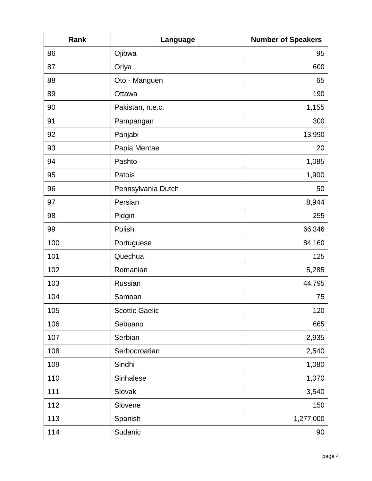| Rank | Language              | <b>Number of Speakers</b> |
|------|-----------------------|---------------------------|
| 86   | Ojibwa                | 95                        |
| 87   | Oriya                 | 600                       |
| 88   | Oto - Manguen         | 65                        |
| 89   | Ottawa                | 190                       |
| 90   | Pakistan, n.e.c.      | 1,155                     |
| 91   | Pampangan             | 300                       |
| 92   | Panjabi               | 13,990                    |
| 93   | Papia Mentae          | 20                        |
| 94   | Pashto                | 1,085                     |
| 95   | Patois                | 1,900                     |
| 96   | Pennsylvania Dutch    | 50                        |
| 97   | Persian               | 8,944                     |
| 98   | Pidgin                | 255                       |
| 99   | Polish                | 66,346                    |
| 100  | Portuguese            | 84,160                    |
| 101  | Quechua               | 125                       |
| 102  | Romanian              | 5,285                     |
| 103  | Russian               | 44,795                    |
| 104  | Samoan                | 75                        |
| 105  | <b>Scottic Gaelic</b> | 120                       |
| 106  | Sebuano               | 665                       |
| 107  | Serbian               | 2,935                     |
| 108  | Serbocroatian         | 2,540                     |
| 109  | Sindhi                | 1,080                     |
| 110  | Sinhalese             | 1,070                     |
| 111  | Slovak                | 3,540                     |
| 112  | Slovene               | 150                       |
| 113  | Spanish               | 1,277,000                 |
| 114  | Sudanic               | 90                        |